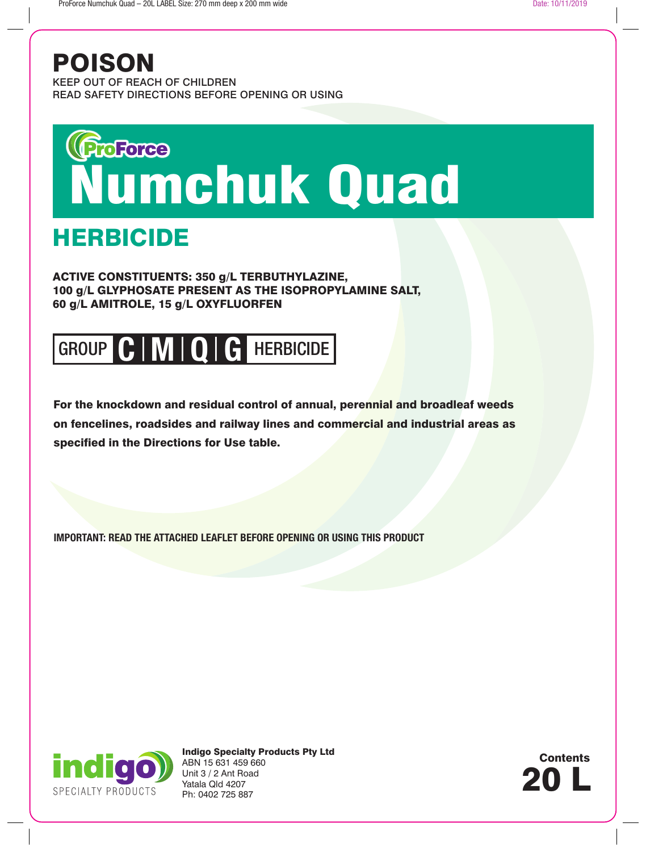## POISON

KEEP OUT OF REACH OF CHILDREN READ SAFETY DIRECTIONS BEFORE OPENING OR USING

# **Wardree**<br>Numchuk Quad

## **HERBICIDE**

ACTIVE CONSTITUENTS: 350 g/L TERBUTHYLAZINE, 100 g/L GLYPHOSATE PRESENT AS THE ISOPROPYLAMINE SALT, 60 g/L AMITROLE, 15 g/L OXYFLUORFEN

# GROUP **C** HERBICIDE | **M** | **Q** | **G**

For the knockdown and residual control of annual, perennial and broadleaf weeds on fencelines, roadsides and railway lines and commercial and industrial areas as specified in the Directions for Use table.

**IMPORTANT: READ THE ATTACHED LEAFLET BEFORE OPENING OR USING THIS PRODUCT**



Indigo Specialty Products Pty Ltd ABN 15 631 459 660 Unit 3 / 2 Ant Road Yatala Qld 4207 Ph: 0402 725 887

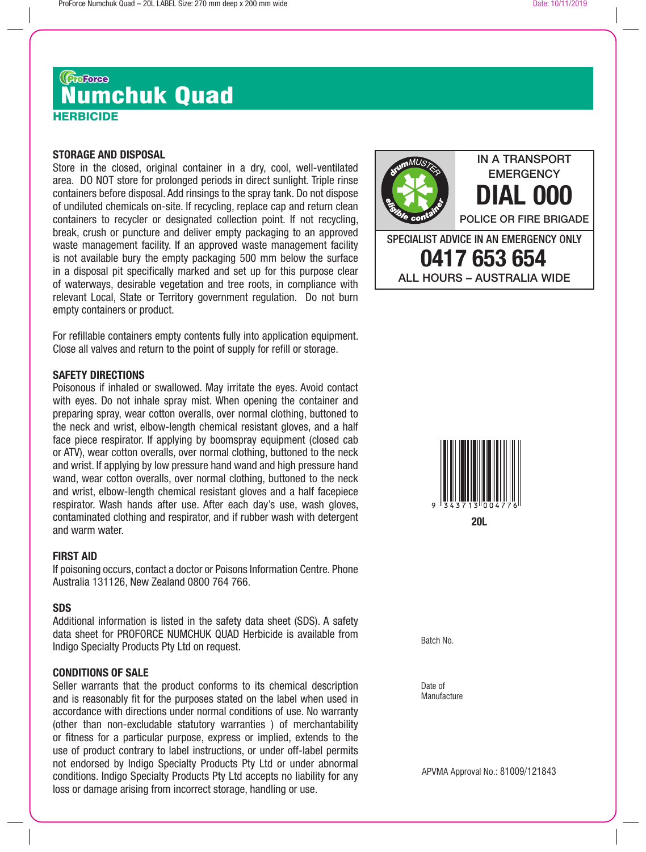## HERBICIDE *Garas*<br>Numchuk Quad

#### **STORAGE AND DISPOSAL**

Store in the closed, original container in a dry, cool, well-ventilated area. DO NOT store for prolonged periods in direct sunlight. Triple rinse containers before disposal. Add rinsings to the spray tank. Do not dispose of undiluted chemicals on-site. If recycling, replace cap and return clean containers to recycler or designated collection point. If not recycling, break, crush or puncture and deliver empty packaging to an approved waste management facility. If an approved waste management facility is not available bury the empty packaging 500 mm below the surface in a disposal pit specifically marked and set up for this purpose clear of waterways, desirable vegetation and tree roots, in compliance with relevant Local, State or Territory government regulation. Do not burn empty containers or product.

For refillable containers empty contents fully into application equipment. Close all valves and return to the point of supply for refill or storage.

#### **SAFETY DIRECTIONS**

Poisonous if inhaled or swallowed. May irritate the eyes. Avoid contact with eyes. Do not inhale spray mist. When opening the container and preparing spray, wear cotton overalls, over normal clothing, buttoned to the neck and wrist, elbow-length chemical resistant gloves, and a half face piece respirator. If applying by boomspray equipment (closed cab or ATV), wear cotton overalls, over normal clothing, buttoned to the neck and wrist. If applying by low pressure hand wand and high pressure hand wand, wear cotton overalls, over normal clothing, buttoned to the neck and wrist, elbow-length chemical resistant gloves and a half facepiece respirator. Wash hands after use. After each day's use, wash gloves, contaminated clothing and respirator, and if rubber wash with detergent and warm water.

## **FIRST AID**

If poisoning occurs, contact a doctor or Poisons Information Centre. Phone Australia 131126, New Zealand 0800 764 766.

#### **SDS**

Additional information is listed in the safety data sheet (SDS). A safety data sheet for PROFORCE NUMCHUK QUAD Herbicide is available from Indigo Specialty Products Pty Ltd on request.

#### **CONDITIONS OF SALE**

Seller warrants that the product conforms to its chemical description and is reasonably fit for the purposes stated on the label when used in accordance with directions under normal conditions of use. No warranty (other than non-excludable statutory warranties ) of merchantability or fitness for a particular purpose, express or implied, extends to the use of product contrary to label instructions, or under off-label permits not endorsed by Indigo Specialty Products Pty Ltd or under abnormal conditions. Indigo Specialty Products Pty Ltd accepts no liability for any loss or damage arising from incorrect storage, handling or use.



Date of **Manufacture** 

APVMA Approval No.: 81009/121843

IN A TRANSPORT **EMERGENCY** 

**DIAL 000**

POLICE OR FIRE BRIGADE

SPECIALIST ADVICE IN AN EMERGENCY ONLY **0417 653 654** ALL HOURS – AUSTRALIA WIDE